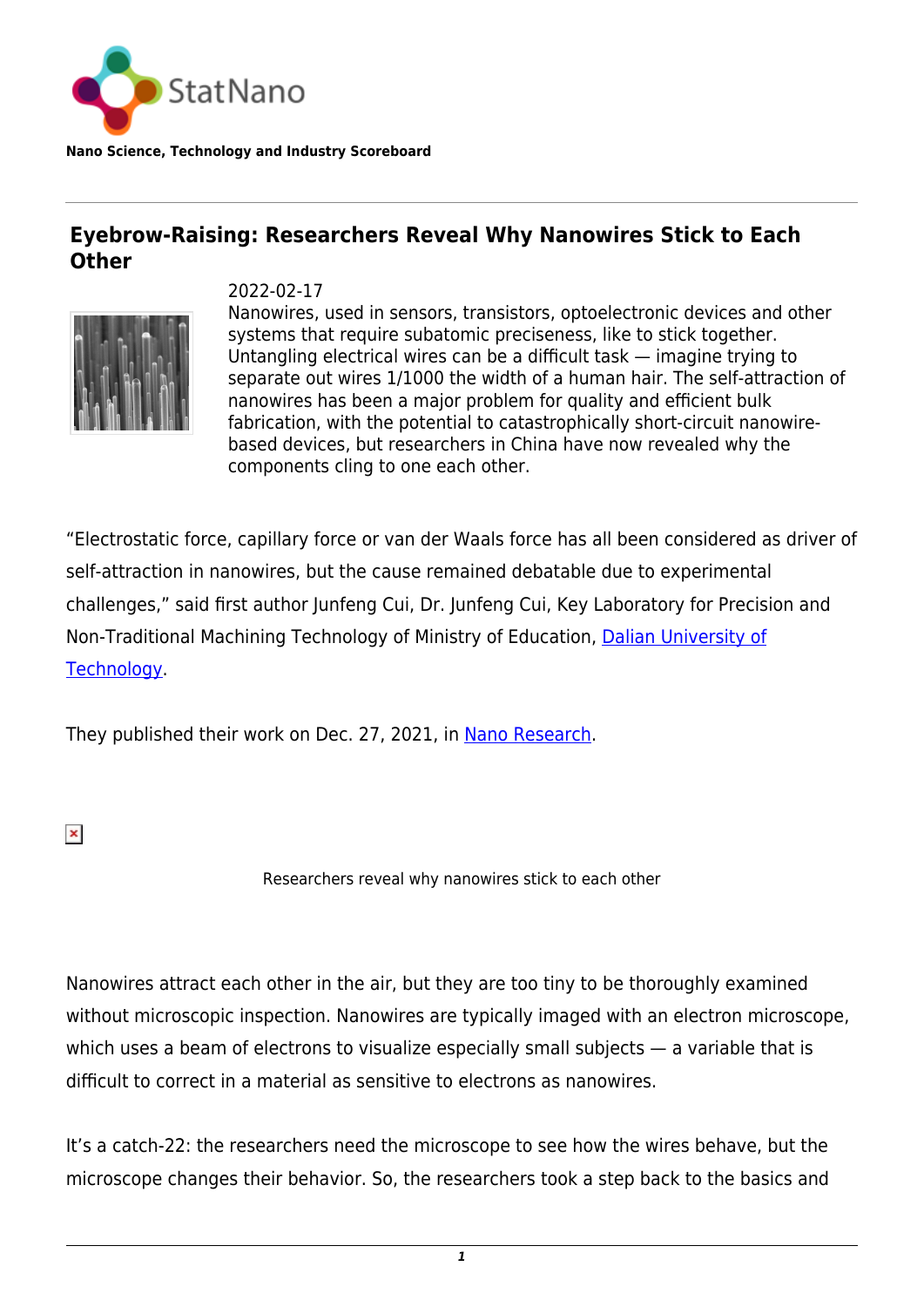

**Nano Science, Technology and Industry Scoreboard**

## **Eyebrow-Raising: Researchers Reveal Why Nanowires Stick to Each Other**



2022-02-17

Nanowires, used in sensors, transistors, optoelectronic devices and other systems that require subatomic preciseness, like to stick together. Untangling electrical wires can be a difficult task — imagine trying to separate out wires 1/1000 the width of a human hair. The self-attraction of nanowires has been a major problem for quality and efficient bulk fabrication, with the potential to catastrophically short-circuit nanowirebased devices, but researchers in China have now revealed why the components cling to one each other.

"Electrostatic force, capillary force or van der Waals force has all been considered as driver of self-attraction in nanowires, but the cause remained debatable due to experimental challenges," said first author Junfeng Cui, Dr. Junfeng Cui, Key Laboratory for Precision and Non-Traditional Machining Technology of Ministry of Education, [Dalian University of](https://statnano.com/org/Dalian-University-of-Technology) [Technology.](https://statnano.com/org/Dalian-University-of-Technology)

They published their work on Dec. 27, 2021, in [Nano Research](https://link.springer.com/article/10.1007/s12274-021-4051-2).

 $\pmb{\times}$ 

Researchers reveal why nanowires stick to each other

Nanowires attract each other in the air, but they are too tiny to be thoroughly examined without microscopic inspection. Nanowires are typically imaged with an electron microscope, which uses a beam of electrons to visualize especially small subjects — a variable that is difficult to correct in a material as sensitive to electrons as nanowires.

It's a catch-22: the researchers need the microscope to see how the wires behave, but the microscope changes their behavior. So, the researchers took a step back to the basics and